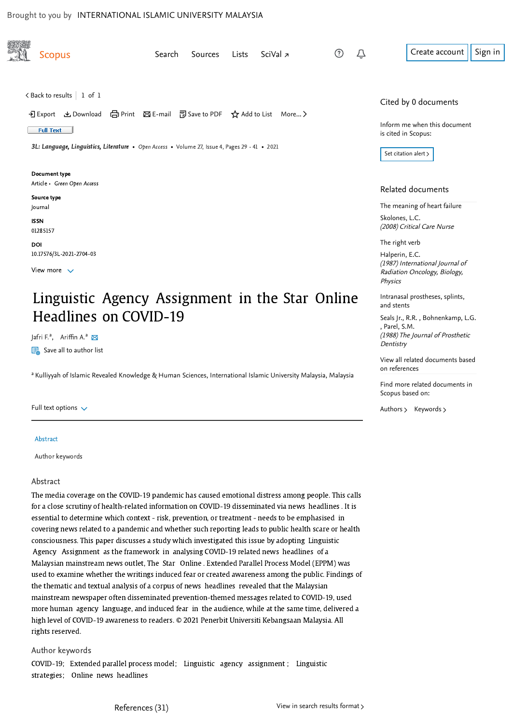<span id="page-0-0"></span>

| <b>Scopus</b>                                                                                                                                                                                                                                                                             | Search<br><b>Sources</b> | Lists | SciVal <u>z</u> | Û<br>(?) | Sign in<br>Create account                                                                           |
|-------------------------------------------------------------------------------------------------------------------------------------------------------------------------------------------------------------------------------------------------------------------------------------------|--------------------------|-------|-----------------|----------|-----------------------------------------------------------------------------------------------------|
| <back 1="" 1<br="" of="" results="" to="">→ Export &amp; Download (금 Print ⊠ E-mail ⊡ Save to PDF <math>\overrightarrow{\chi}</math> Add to List More &gt;<br/><b>Full Text</b><br/>3L: Language, Linguistics, Literature • Open Access • Volume 27, Issue 4, Pages 29 - 41 • 2021</back> |                          |       |                 |          | Cited by 0 documents<br>Inform me when this document<br>is cited in Scopus:<br>Set citation alert > |
| Document type<br>Article • Green Open Access                                                                                                                                                                                                                                              |                          |       |                 |          | Related documents                                                                                   |
| Source type<br>Journal                                                                                                                                                                                                                                                                    |                          |       |                 |          | The meaning of heart failure                                                                        |
| <b>ISSN</b><br>01285157                                                                                                                                                                                                                                                                   |                          |       |                 |          | Skolones, L.C.<br>(2008) Critical Care Nurse                                                        |
| DOI                                                                                                                                                                                                                                                                                       |                          |       |                 |          | The right verb                                                                                      |
| 10.17576/3L-2021-2704-03<br>View more $\sqrt{}$                                                                                                                                                                                                                                           |                          |       |                 |          | Halperin, E.C.<br>(1987) International Journal of<br>Radiation Oncology, Biology,<br>Physics        |
| Linguistic Agency Assignment in the Star Online                                                                                                                                                                                                                                           |                          |       |                 |          | Intranasal prostheses, splints,<br>and stents                                                       |

J[a](mailto:adlina@iium.edu.my)fri F.ª, Ariffin A.ª

Headlines on COVID-19

 $\boxed{\Xi_{\text{ab}}}$  Save all to author list

<sup>a</sup> Kulliyyah of Islamic Revealed Knowledge & Human Sciences, International Islamic University Malaysia, Malaysia

Full text options  $\sqrt{}$ 

Abstract

Author keywords

## Abstract

The media coverage on the COVID-19 pandemic has caused emotional distress among people. This calls for a close scrutiny of health-related information on COVID-19 disseminated via news headlines . It is essential to determine which context - risk, prevention, or treatment - needs to be emphasised in covering news related to a pandemic and whether such reporting leads to public health scare or health consciousness. This paper discusses a study which investigated this issue by adopting Linguistic Agency Assignment as the framework in analysing COVID-19 related news headlines of a Malaysian mainstream news outlet, The Star Online . Extended Parallel Process Model (EPPM) was used to examine whether the writings induced fear or created awareness among the public. Findings of the thematic and textual analysis of a corpus of news headlines revealed that the Malaysian mainstream newspaper often disseminated prevention-themed messages related to COVID-19, used more human agency language, and induced fear in the audience, while at the same time, delivered a high level of COVID-19 awareness to readers. © 2021 Penerbit Universiti Kebangsaan Malaysia. All rights reserved.

## Author keywords

COVID-19; Extended parallel process model; Linguistic agency assignment ; Linguistic strategies; Online news headlines

, [Seals Jr., R.R.](https://www.scopus.com/authid/detail.uri?origin=recordpage&authorId=7006673978&zone=relatedDocuments) [Bohnenkamp, L.G.](https://www.scopus.com/authid/detail.uri?origin=recordpage&authorId=6504340549&zone=relatedDocuments) , [Parel, S.M.](https://www.scopus.com/authid/detail.uri?origin=recordpage&authorId=7005336652&zone=relatedDocuments) (1988) The Journal of Prosthetic **Dentistry** 

[View all related documents based](https://www.scopus.com/search/submit/mlt.uri?eid=2-s2.0-85121641968&src=s&all=true&origin=recordpage&method=ref&zone=relatedDocuments) on references

Find more related documents in Scopus based on:

[Authors](https://www.scopus.com/search/submit/mlt.uri?eid=2-s2.0-85121641968&src=s&all=true&origin=recordpage&method=aut&zone=relatedDocuments) > [Keywords](https://www.scopus.com/search/submit/mlt.uri?eid=2-s2.0-85121641968&src=s&all=true&origin=recordpage&method=key&zone=relatedDocuments) >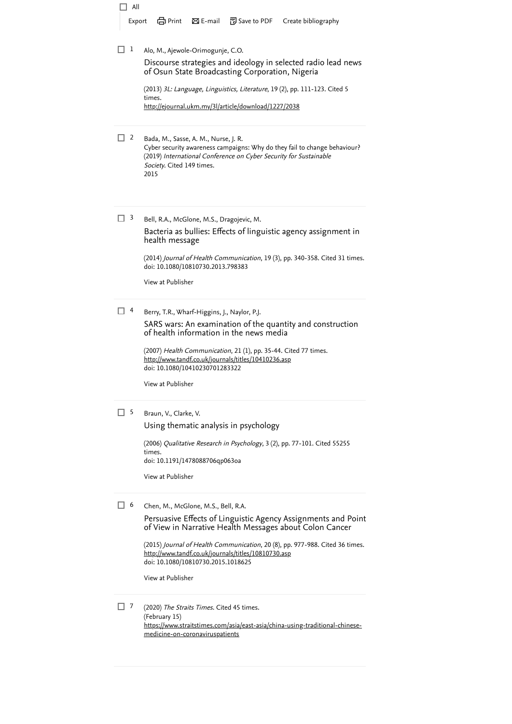| All<br>Export                     | d Print ⊠E-mail<br>河 Save to PDF Create bibliography                                                                                                                                                                                                                                                                                                              |  |  |  |  |  |
|-----------------------------------|-------------------------------------------------------------------------------------------------------------------------------------------------------------------------------------------------------------------------------------------------------------------------------------------------------------------------------------------------------------------|--|--|--|--|--|
| 1                                 | Alo, M., Ajewole-Orimogunje, C.O.<br>Discourse strategies and ideology in selected radio lead news<br>of Osun State Broadcasting Corporation, Nigeria<br>(2013) 3L: Language, Linguistics, Literature, 19 (2), pp. 111-123. Cited 5<br>times.<br>http://ejournal.ukm.my/3l/article/download/1227/2038                                                             |  |  |  |  |  |
| $\overline{2}$                    | Bada, M., Sasse, A. M., Nurse, J. R.<br>Cyber security awareness campaigns: Why do they fail to change behaviour?<br>(2019) International Conference on Cyber Security for Sustainable<br>Society. Cited 149 times.<br>2015                                                                                                                                       |  |  |  |  |  |
| 3                                 | Bell, R.A., McGlone, M.S., Dragojevic, M.<br>Bacteria as bullies: Effects of linguistic agency assignment in<br>health message<br>(2014) Journal of Health Communication, 19 (3), pp. 340-358. Cited 31 times.<br>doi: 10.1080/10810730.2013.798383<br>View at Publisher                                                                                          |  |  |  |  |  |
| 4                                 | Berry, T.R., Wharf-Higgins, J., Naylor, P.J.<br>SARS wars: An examination of the quantity and construction<br>of health information in the news media<br>(2007) Health Communication, 21 (1), pp. 35-44. Cited 77 times.<br><u>http://www.tandf.co.uk/journals/titles/10410236.asp</u><br>doi: 10.1080/10410230701283322<br>View at Publisher                     |  |  |  |  |  |
| 15                                | Braun, V., Clarke, V.<br>Using thematic analysis in psychology<br>(2006) Qualitative Research in Psychology, 3 (2), pp. 77-101. Cited 55255<br>times.<br>doi: 10.1191/1478088706qp063oa<br>View at Publisher                                                                                                                                                      |  |  |  |  |  |
| $\begin{bmatrix} 6 \end{bmatrix}$ | Chen, M., McGlone, M.S., Bell, R.A.<br>Persuasive Effects of Linguistic Agency Assignments and Point<br>of View in Narrative Health Messages about Colon Cancer<br>(2015) Journal of Health Communication, 20 (8), pp. 977-988. Cited 36 times.<br>http://www.tandf.co.uk/journals/titles/10810730.asp<br>doi: 10.1080/10810730.2015.1018625<br>View at Publisher |  |  |  |  |  |
| -7                                | (2020) The Straits Times. Cited 45 times.<br>(February 15)<br>https://www.straitstimes.com/asia/east-asia/china-using-traditional-chinese-<br>medicine-on-coronaviruspatients                                                                                                                                                                                     |  |  |  |  |  |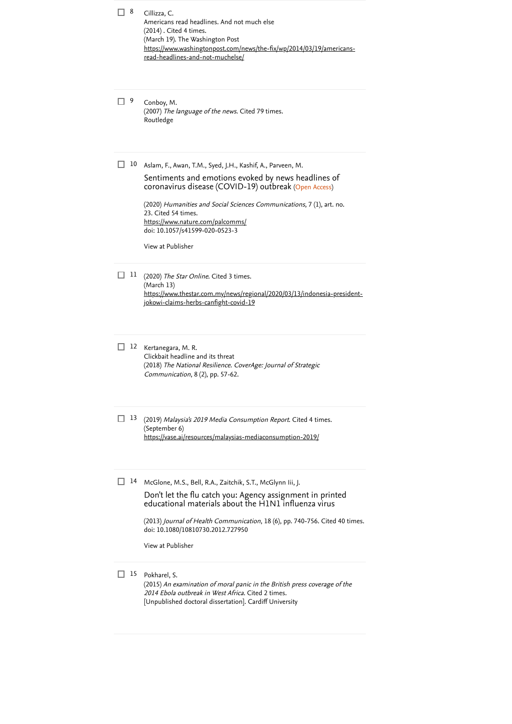| 8   | Cillizza, C.<br>Americans read headlines. And not much else<br>(2014). Cited 4 times.<br>(March 19). The Washington Post<br>https://www.washingtonpost.com/news/the-fix/wp/2014/03/19/americans-<br>read-headlines-and-not-muchelse/                                                                                                                                  |
|-----|-----------------------------------------------------------------------------------------------------------------------------------------------------------------------------------------------------------------------------------------------------------------------------------------------------------------------------------------------------------------------|
| - 9 | Conboy, M.<br>(2007) The language of the news. Cited 79 times.<br>Routledge                                                                                                                                                                                                                                                                                           |
| 10  | Aslam, F., Awan, T.M., Syed, J.H., Kashif, A., Parveen, M.<br>Sentiments and emotions evoked by news headlines of<br>coronavirus disease (COVID-19) outbreak (Open Access)<br>(2020) Humanities and Social Sciences Communications, 7 (1), art. no.<br>23. Cited 54 times.<br>https://www.nature.com/palcomms/<br>doi: 10.1057/s41599-020-0523-3<br>View at Publisher |
| 11  | (2020) The Star Online. Cited 3 times.<br>(March 13)<br>https://www.thestar.com.my/news/regional/2020/03/13/indonesia-president-<br>jokowi-claims-herbs-canfight-covid-19                                                                                                                                                                                             |
| 12  | Kertanegara, M. R.<br>Clickbait headline and its threat<br>(2018) The National Resilience. CoverAge: Journal of Strategic<br>Communication, 8 (2), pp. 57-62.                                                                                                                                                                                                         |
| -13 | (2019) Malaysia's 2019 Media Consumption Report. Cited 4 times.<br>(September 6)<br>https://vase.ai/resources/malaysias-mediaconsumption-2019/                                                                                                                                                                                                                        |
| 14  | McGlone, M.S., Bell, R.A., Zaitchik, S.T., McGlynn Iii, J.<br>Don't let the flu catch you: Agency assignment in printed<br>educational materials about the H1N1 influenza virus<br>(2013) Journal of Health Communication, 18 (6), pp. 740-756. Cited 40 times.<br>doi: 10.1080/10810730.2012.727950<br>View at Publisher                                             |
| 15  | Pokharel, S.<br>(2015) An examination of moral panic in the British press coverage of the<br>2014 Ebola outbreak in West Africa. Cited 2 times.<br>[Unpublished doctoral dissertation]. Cardiff University                                                                                                                                                            |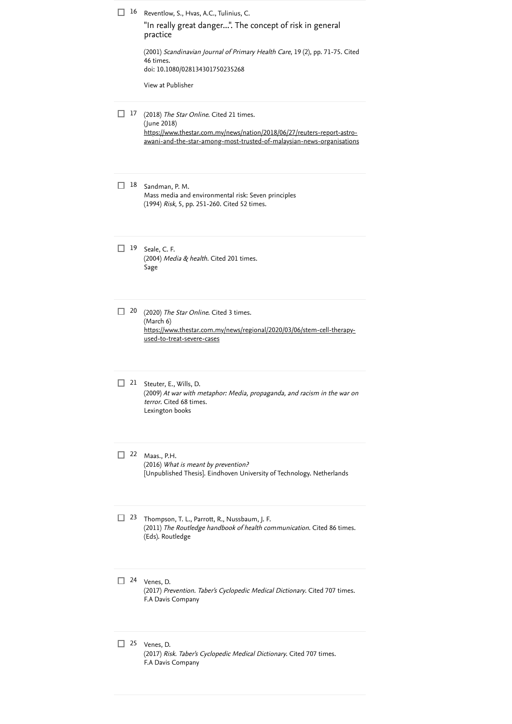| 16 | Reventlow, S., Hvas, A.C., Tulinius, C.<br>"In really great danger". The concept of risk in general<br>practice<br>(2001) Scandinavian Journal of Primary Health Care, 19 (2), pp. 71-75. Cited<br>46 times.<br>doi: 10.1080/028134301750235268<br>View at Publisher |
|----|----------------------------------------------------------------------------------------------------------------------------------------------------------------------------------------------------------------------------------------------------------------------|
| 17 | (2018) The Star Online. Cited 21 times.<br>(June 2018)<br>https://www.thestar.com.my/news/nation/2018/06/27/reuters-report-astro-<br>awani-and-the-star-among-most-trusted-of-malaysian-news-organisations                                                           |
| 18 | Sandman, P. M.<br>Mass media and environmental risk: Seven principles<br>(1994) <i>Risk</i> , 5, pp. 251-260. Cited 52 times.                                                                                                                                        |
| 19 | Seale, C. F.<br>(2004) Media & health. Cited 201 times.<br>Sage                                                                                                                                                                                                      |
| 20 | (2020) The Star Online. Cited 3 times.<br>(March 6)<br>https://www.thestar.com.my/news/regional/2020/03/06/stem-cell-therapy-<br><u>used-to-treat-severe-cases</u>                                                                                                   |
| 21 | Steuter, E., Wills, D.<br>(2009) At war with metaphor: Media, propaganda, and racism in the war on<br><i>terror</i> . Cited 68 times.<br>Lexington books                                                                                                             |
| 22 | Maas., P.H.<br>(2016) What is meant by prevention?<br>[Unpublished Thesis]. Eindhoven University of Technology. Netherlands                                                                                                                                          |
| 23 | Thompson, T. L., Parrott, R., Nussbaum, J. F.<br>(2011) The Routledge handbook of health communication. Cited 86 times.<br>(Eds). Routledge                                                                                                                          |
| 24 | Venes, D.<br>(2017) Prevention. Taber's Cyclopedic Medical Dictionary. Cited 707 times.<br>F.A Davis Company                                                                                                                                                         |
| 25 | Venes, D.<br>(2017) Risk. Taber's Cyclopedic Medical Dictionary. Cited 707 times.<br>F.A Davis Company                                                                                                                                                               |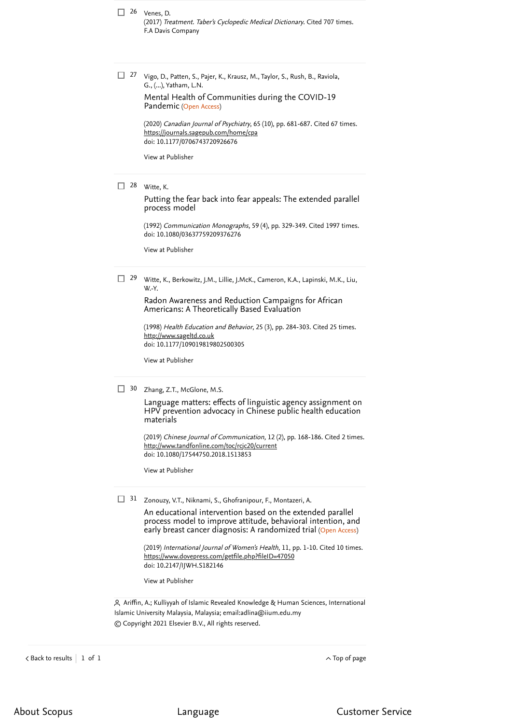26 Venes, D. (2017) *Treatment. Taber's Cyclopedic Medical Dictionary*. [Cited 707 times](https://www.scopus.com/search/submit/citedby.uri?eid=2-s2.0-85121641968&refeid=2-s2.0-0003815202&src=s&origin=reflist&refstat=dummy). F.A Davis Company

<sup>27</sup> Vigo, D., Patten, S., Pajer, K., Krausz, M., Taylor, S., Rush, B., Raviola, G., (...), Yatham, L.N.

Pandemic (Open Access) [Mental Health of Communities during the COVID-19](https://www.scopus.com/record/display.uri?eid=2-s2.0-85084616539&origin=reflist&sort=plf-f&src=s&st1=Linguistic+Agency+Assignment+in+the+Star+Online+Headlines+on+COVID-19&sid=a8636e11917366cc342e3c51250aa41d&sot=b&sdt=b&sl=84&s=TITLE-ABS-KEY%28Linguistic+Agency+Assignment+in+the+Star+Online+Headlines+on+COVID-19%29)

(2020) *Canadian Journal of Psychiatry*, 65 (10), pp. 681-687. [Cited 67 times](https://www.scopus.com/search/submit/citedby.uri?eid=2-s2.0-85121641968&refeid=2-s2.0-85084616539&src=s&origin=reflist&refstat=core). doi: 10.1177/0706743720926676 <https://journals.sagepub.com/home/cpa>

[View at Publisher](https://www.scopus.com/redirect/linking.uri?targetURL=https%3a%2f%2fdoi.org%2f10.1177%2f0706743720926676&locationID=3&categoryID=4&eid=2-s2.0-85084616539&issn=14970015&linkType=ViewAtPublisher&year=2020&origin=reflist&dig=56f9f9de2b13e2f3a14d2a682c080c00)

Witte, K. 28

[Putting the fear back into fear appeals: The extended parallel](https://www.scopus.com/record/display.uri?eid=2-s2.0-84941646855&origin=reflist&sort=plf-f&src=s&st1=Linguistic+Agency+Assignment+in+the+Star+Online+Headlines+on+COVID-19&sid=a8636e11917366cc342e3c51250aa41d&sot=b&sdt=b&sl=84&s=TITLE-ABS-KEY%28Linguistic+Agency+Assignment+in+the+Star+Online+Headlines+on+COVID-19%29) process model

(1992) *Communication Monographs*, 59 (4), pp. 329-349. [Cited 1997 times](https://www.scopus.com/search/submit/citedby.uri?eid=2-s2.0-85121641968&refeid=2-s2.0-84941646855&src=s&origin=reflist&refstat=core). doi: 10.1080/03637759209376276

[View at Publisher](https://www.scopus.com/redirect/linking.uri?targetURL=https%3a%2f%2fdoi.org%2f10.1080%2f03637759209376276&locationID=3&categoryID=4&eid=2-s2.0-84941646855&issn=14795787&linkType=ViewAtPublisher&year=1992&origin=reflist&dig=6a29dadfb114d1448eabf667f3c7119b)

Witte, K., Berkowitz, J.M., Lillie, J.McK., Cameron, K.A., Lapinski, M.K., Liu, W.-Y.  $\Box$  29

> [Radon Awareness and Reduction Campaigns for African](https://www.scopus.com/record/display.uri?eid=2-s2.0-0032087624&origin=reflist&sort=plf-f&src=s&st1=Linguistic+Agency+Assignment+in+the+Star+Online+Headlines+on+COVID-19&sid=a8636e11917366cc342e3c51250aa41d&sot=b&sdt=b&sl=84&s=TITLE-ABS-KEY%28Linguistic+Agency+Assignment+in+the+Star+Online+Headlines+on+COVID-19%29) Americans: A Theoretically Based Evaluation

(1998) *Health Education and Behavior*, 25 (3), pp. 284-303. [Cited 25 times](https://www.scopus.com/search/submit/citedby.uri?eid=2-s2.0-85121641968&refeid=2-s2.0-0032087624&src=s&origin=reflist&refstat=core).<br><u>[http://www.sageltd.co.uk](http://www.sageltd.co.uk/)</u> doi: 10.1177/109019819802500305

[View at Publisher](https://www.scopus.com/redirect/linking.uri?targetURL=https%3a%2f%2fdoi.org%2f10.1177%2f109019819802500305&locationID=3&categoryID=4&eid=2-s2.0-0032087624&issn=10901981&linkType=ViewAtPublisher&year=1998&origin=reflist&dig=704868f98269d8946bfa63bd9083b690)

30 Zhang, Z.T., McGlone, M.S.

[Language matters: effects of linguistic agency assignment on](https://www.scopus.com/record/display.uri?eid=2-s2.0-85054666577&origin=reflist&sort=plf-f&src=s&st1=Linguistic+Agency+Assignment+in+the+Star+Online+Headlines+on+COVID-19&sid=a8636e11917366cc342e3c51250aa41d&sot=b&sdt=b&sl=84&s=TITLE-ABS-KEY%28Linguistic+Agency+Assignment+in+the+Star+Online+Headlines+on+COVID-19%29) HPV prevention advocacy in Chinese public health education materials

(2019) *Chinese Journal of Communication*, 12 (2), pp. 168-186. [Cited 2 times](https://www.scopus.com/search/submit/citedby.uri?eid=2-s2.0-85121641968&refeid=2-s2.0-85054666577&src=s&origin=reflist&refstat=core). doi: 10.1080/17544750.2018.1513853 <http://www.tandfonline.com/toc/rcjc20/current>

[View at Publisher](https://www.scopus.com/redirect/linking.uri?targetURL=https%3a%2f%2fdoi.org%2f10.1080%2f17544750.2018.1513853&locationID=3&categoryID=4&eid=2-s2.0-85054666577&issn=17544769&linkType=ViewAtPublisher&year=2019&origin=reflist&dig=64c286e06801138a661bd3b16e7cbcf6)

31 Zonouzy, V.T., Niknami, S., Ghofranipour, F., Montazeri, A.

early breast cancer diagnosis: A randomized trial (Open Access) An educational intervention based on the extended parallel [process model to improve attitude, behavioral intention, and](https://www.scopus.com/record/display.uri?eid=2-s2.0-85060113905&origin=reflist&sort=plf-f&src=s&st1=Linguistic+Agency+Assignment+in+the+Star+Online+Headlines+on+COVID-19&sid=a8636e11917366cc342e3c51250aa41d&sot=b&sdt=b&sl=84&s=TITLE-ABS-KEY%28Linguistic+Agency+Assignment+in+the+Star+Online+Headlines+on+COVID-19%29)

(2019) *International Journal of Women's Health*, 11, pp. 1-10. [Cited 10 times](https://www.scopus.com/search/submit/citedby.uri?eid=2-s2.0-85121641968&refeid=2-s2.0-85060113905&src=s&origin=reflist&refstat=core). doi: 10.2147/IJWH.S182146 <https://www.dovepress.com/getfile.php?fileID=47050>

[View at Publisher](https://www.scopus.com/redirect/linking.uri?targetURL=https%3a%2f%2fdoi.org%2f10.2147%2fIJWH.S182146&locationID=3&categoryID=4&eid=2-s2.0-85060113905&issn=11791411&linkType=ViewAtPublisher&year=2019&origin=reflist&dig=6b58a38959e92ea8dac51e5292734f85)

 Ariffin, A.; Kulliyyah of Islamic Revealed Knowledge & Human Sciences, International Islamic University Malaysia, Malaysia; email: [adlina@iium.edu.my](mailto:adlina@iium.edu.my) © Copyright 2021 Elsevier B.V., All rights reserved.

 $\lambda$  [Back to results](https://www.scopus.com/results/results.uri?sort=plf-f&src=s&st1=Linguistic+Agency+Assignment+in+the+Star+Online+Headlines+on+COVID-19&sid=a8636e11917366cc342e3c51250aa41d&sot=b&sdt=b&sl=84&s=TITLE-ABS-KEY%28Linguistic+Agency+Assignment+in+the+Star+Online+Headlines+on+COVID-19%29&offset=1&origin=recordpage)  $\begin{array}{ccc} \mid & 1 & \text{of} & 1 \end{array}$